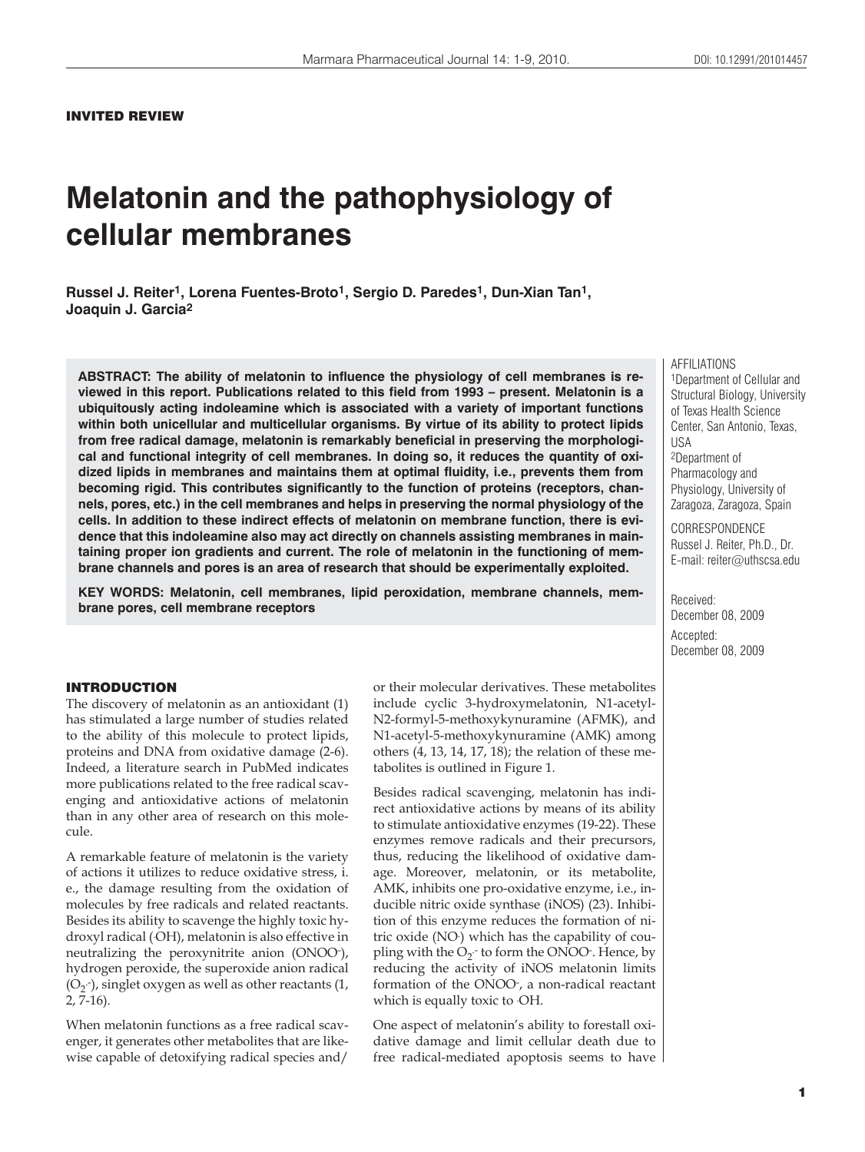# INVITED REVIEW

# **Melatonin and the pathophysiology of cellular membranes**

**Russel J. Reiter1, Lorena Fuentes-Broto1, Sergio D. Paredes1, Dun-Xian Tan1, Joaquin J. Garcia2**

**ABSTRACT: The ability of melatonin to influence the physiology of cell membranes is reviewed in this report. Publications related to this field from 1993 – present. Melatonin is a ubiquitously acting indoleamine which is associated with a variety of important functions within both unicellular and multicellular organisms. By virtue of its ability to protect lipids from free radical damage, melatonin is remarkably beneficial in preserving the morphological and functional integrity of cell membranes. In doing so, it reduces the quantity of oxidized lipids in membranes and maintains them at optimal fluidity, i.e., prevents them from becoming rigid. This contributes significantly to the function of proteins (receptors, channels, pores, etc.) in the cell membranes and helps in preserving the normal physiology of the cells. In addition to these indirect effects of melatonin on membrane function, there is evidence that this indoleamine also may act directly on channels assisting membranes in maintaining proper ion gradients and current. The role of melatonin in the functioning of membrane channels and pores is an area of research that should be experimentally exploited.**

**KEY WORDS: Melatonin, cell membranes, lipid peroxidation, membrane channels, membrane pores, cell membrane receptors**

#### INTRODUCTION

The discovery of melatonin as an antioxidant (1) has stimulated a large number of studies related to the ability of this molecule to protect lipids, proteins and DNA from oxidative damage (2-6). Indeed, a literature search in PubMed indicates more publications related to the free radical scavenging and antioxidative actions of melatonin than in any other area of research on this molecule.

A remarkable feature of melatonin is the variety of actions it utilizes to reduce oxidative stress, i. e., the damage resulting from the oxidation of molecules by free radicals and related reactants. Besides its ability to scavenge the highly toxic hydroxyl radical (. OH), melatonin is also effective in neutralizing the peroxynitrite anion (ONOO- ), hydrogen peroxide, the superoxide anion radical  $(O_2)$ -), singlet oxygen as well as other reactants  $(1, 1)$ 2, 7-16).

When melatonin functions as a free radical scavenger, it generates other metabolites that are likewise capable of detoxifying radical species and/ or their molecular derivatives. These metabolites include cyclic 3-hydroxymelatonin, N1-acetyl-N2-formyl-5-methoxykynuramine (AFMK), and N1-acetyl-5-methoxykynuramine (AMK) among others (4, 13, 14, 17, 18); the relation of these metabolites is outlined in Figure 1.

Besides radical scavenging, melatonin has indirect antioxidative actions by means of its ability to stimulate antioxidative enzymes (19-22). These enzymes remove radicals and their precursors, thus, reducing the likelihood of oxidative damage. Moreover, melatonin, or its metabolite, AMK, inhibits one pro-oxidative enzyme, i.e., inducible nitric oxide synthase (iNOS) (23). Inhibition of this enzyme reduces the formation of nitric oxide (NO. ) which has the capability of coupling with the  $O_2$ -to form the ONOO-. Hence, by reducing the activity of iNOS melatonin limits formation of the ONOO- , a non-radical reactant which is equally toxic to OH.

One aspect of melatonin's ability to forestall oxidative damage and limit cellular death due to free radical-mediated apoptosis seems to have

1Department of Cellular and Structural Biology, University of Texas Health Science Center, San Antonio, Texas, USA 2Department of

AFFILIATIONS

Pharmacology and Physiology, University of Zaragoza, Zaragoza, Spain

**CORRESPONDENCE** Russel J. Reiter, Ph.D., Dr. E-mail: reiter@uthscsa.edu

Received: December 08, 2009 Accepted: December 08, 2009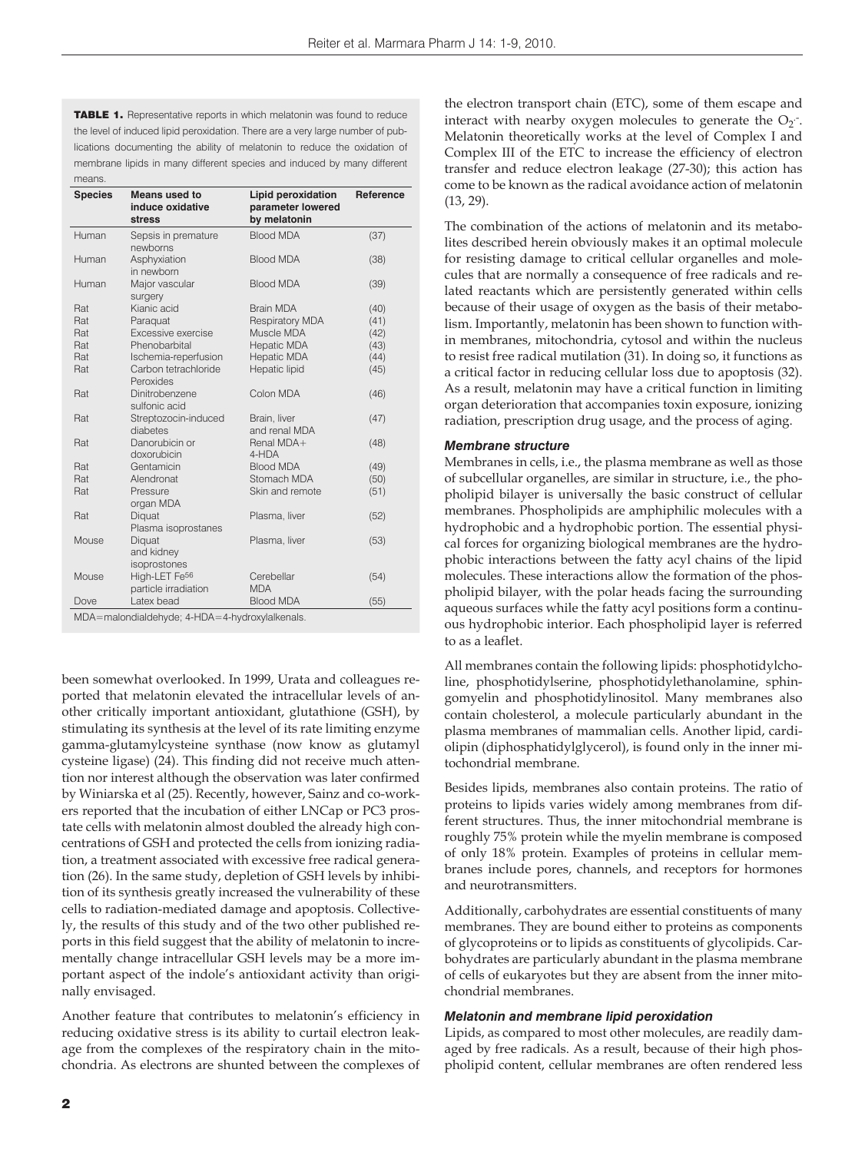TABLE 1. Representative reports in which melatonin was found to reduce the level of induced lipid peroxidation. There are a very large number of publications documenting the ability of melatonin to reduce the oxidation of membrane lipids in many different species and induced by many different means

| <b>Species</b> | <b>Means used to</b><br>induce oxidative<br><b>stress</b> | <b>Lipid peroxidation</b><br>parameter lowered<br>by melatonin | Reference |
|----------------|-----------------------------------------------------------|----------------------------------------------------------------|-----------|
| Human          | Sepsis in premature<br>newborns                           | <b>Blood MDA</b>                                               | (37)      |
| Human          | Asphyxiation<br>in newborn                                | <b>Blood MDA</b>                                               | (38)      |
| Human          | Major vascular<br>surgery                                 | <b>Blood MDA</b>                                               | (39)      |
| Rat            | Kianic acid                                               | Brain MDA                                                      | (40)      |
| Rat            | Paraquat                                                  | <b>Respiratory MDA</b>                                         | (41)      |
| Rat            | Excessive exercise                                        | Muscle MDA                                                     | (42)      |
| Rat            | Phenobarbital                                             | <b>Hepatic MDA</b>                                             | (43)      |
| Rat            | Ischemia-reperfusion                                      | <b>Hepatic MDA</b>                                             | (44)      |
| Rat            | Carbon tetrachloride<br>Peroxides                         | Hepatic lipid                                                  | (45)      |
| Rat            | Dinitrobenzene<br>sulfonic acid                           | Colon MDA                                                      | (46)      |
| Rat            | Streptozocin-induced<br>diabetes                          | Brain, liver<br>and renal MDA                                  | (47)      |
| Rat            | Danorubicin or<br>doxorubicin                             | Renal MDA+<br>4-HDA                                            | (48)      |
| Rat            | Gentamicin                                                | <b>Blood MDA</b>                                               | (49)      |
| Rat            | Alendronat                                                | Stomach MDA                                                    | (50)      |
| Rat            | Pressure<br>organ MDA                                     | Skin and remote                                                | (51)      |
| Rat            | Diquat<br>Plasma isoprostanes                             | Plasma, liver                                                  | (52)      |
| Mouse          | Diquat<br>and kidney<br>isoprostones                      | Plasma, liver                                                  | (53)      |
| Mouse          | High-LET Fe <sup>56</sup><br>particle irradiation         | Cerebellar<br><b>MDA</b>                                       | (54)      |
| Dove           | Latex bead                                                | <b>Blood MDA</b>                                               | (55)      |
|                | MDA — malondialdebyde: 1-HDA — 1-bydrovylalkenals         |                                                                |           |

MDA=malondialdehyde; 4-HDA=4-hydroxylalkenals.

been somewhat overlooked. In 1999, Urata and colleagues reported that melatonin elevated the intracellular levels of another critically important antioxidant, glutathione (GSH), by stimulating its synthesis at the level of its rate limiting enzyme gamma-glutamylcysteine synthase (now know as glutamyl cysteine ligase) (24). This finding did not receive much attention nor interest although the observation was later confirmed by Winiarska et al (25). Recently, however, Sainz and co-workers reported that the incubation of either LNCap or PC3 prostate cells with melatonin almost doubled the already high concentrations of GSH and protected the cells from ionizing radiation, a treatment associated with excessive free radical generation (26). In the same study, depletion of GSH levels by inhibition of its synthesis greatly increased the vulnerability of these cells to radiation-mediated damage and apoptosis. Collectively, the results of this study and of the two other published reports in this field suggest that the ability of melatonin to incrementally change intracellular GSH levels may be a more important aspect of the indole's antioxidant activity than originally envisaged.

Another feature that contributes to melatonin's efficiency in reducing oxidative stress is its ability to curtail electron leakage from the complexes of the respiratory chain in the mitochondria. As electrons are shunted between the complexes of

the electron transport chain (ETC), some of them escape and interact with nearby oxygen molecules to generate the  $O_2$ . Melatonin theoretically works at the level of Complex I and Complex III of the ETC to increase the efficiency of electron transfer and reduce electron leakage (27-30); this action has come to be known as the radical avoidance action of melatonin (13, 29).

The combination of the actions of melatonin and its metabolites described herein obviously makes it an optimal molecule for resisting damage to critical cellular organelles and molecules that are normally a consequence of free radicals and related reactants which are persistently generated within cells because of their usage of oxygen as the basis of their metabolism. Importantly, melatonin has been shown to function within membranes, mitochondria, cytosol and within the nucleus to resist free radical mutilation (31). In doing so, it functions as a critical factor in reducing cellular loss due to apoptosis (32). As a result, melatonin may have a critical function in limiting organ deterioration that accompanies toxin exposure, ionizing radiation, prescription drug usage, and the process of aging.

### *Membrane structure*

Membranes in cells, i.e., the plasma membrane as well as those of subcellular organelles, are similar in structure, i.e., the phopholipid bilayer is universally the basic construct of cellular membranes. Phospholipids are amphiphilic molecules with a hydrophobic and a hydrophobic portion. The essential physical forces for organizing biological membranes are the hydrophobic interactions between the fatty acyl chains of the lipid molecules. These interactions allow the formation of the phospholipid bilayer, with the polar heads facing the surrounding aqueous surfaces while the fatty acyl positions form a continuous hydrophobic interior. Each phospholipid layer is referred to as a leaflet.

All membranes contain the following lipids: phosphotidylcholine, phosphotidylserine, phosphotidylethanolamine, sphingomyelin and phosphotidylinositol. Many membranes also contain cholesterol, a molecule particularly abundant in the plasma membranes of mammalian cells. Another lipid, cardiolipin (diphosphatidylglycerol), is found only in the inner mitochondrial membrane.

Besides lipids, membranes also contain proteins. The ratio of proteins to lipids varies widely among membranes from different structures. Thus, the inner mitochondrial membrane is roughly 75% protein while the myelin membrane is composed of only 18% protein. Examples of proteins in cellular membranes include pores, channels, and receptors for hormones and neurotransmitters.

Additionally, carbohydrates are essential constituents of many membranes. They are bound either to proteins as components of glycoproteins or to lipids as constituents of glycolipids. Carbohydrates are particularly abundant in the plasma membrane of cells of eukaryotes but they are absent from the inner mitochondrial membranes.

## *Melatonin and membrane lipid peroxidation*

Lipids, as compared to most other molecules, are readily damaged by free radicals. As a result, because of their high phospholipid content, cellular membranes are often rendered less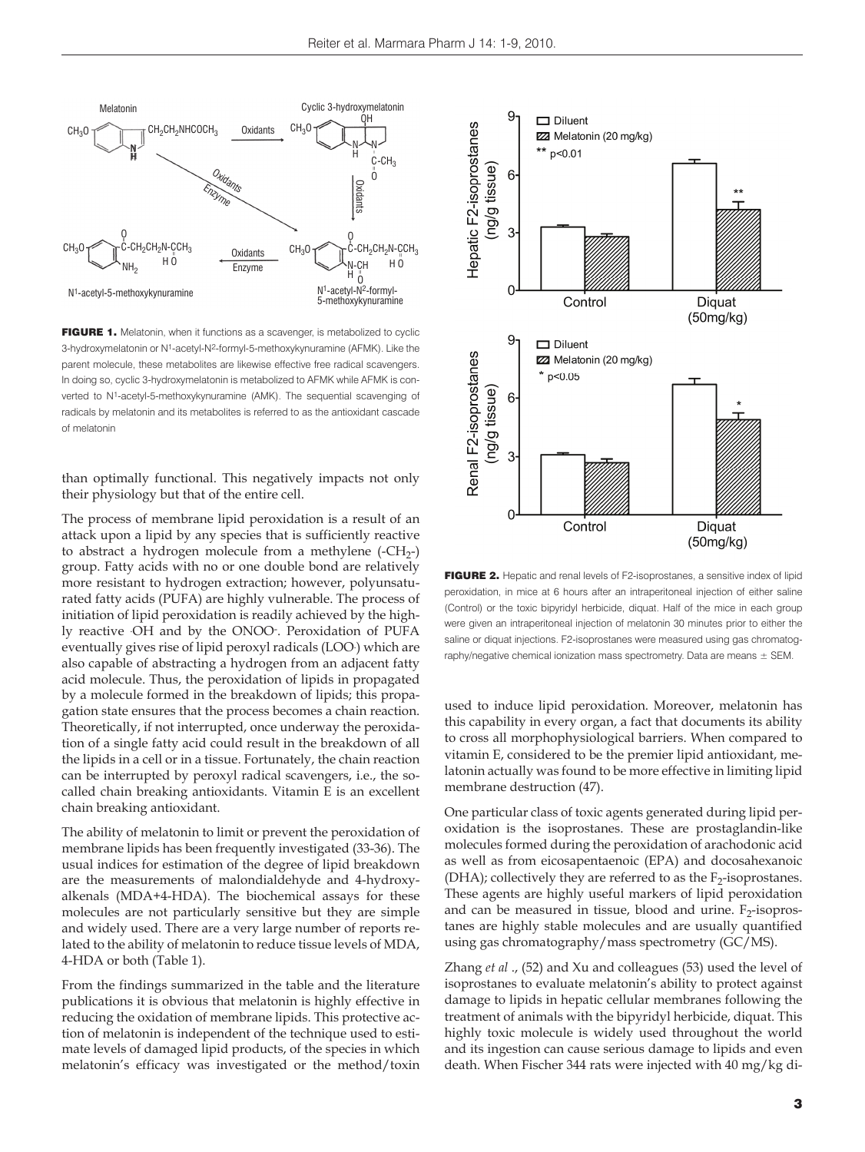

FIGURE 1. Melatonin, when it functions as a scavenger, is metabolized to cyclic 3-hydroxymelatonin or N1-acetyl-N2-formyl-5-methoxykynuramine (AFMK). Like the parent molecule, these metabolites are likewise effective free radical scavengers. In doing so, cyclic 3-hydroxymelatonin is metabolized to AFMK while AFMK is converted to N1-acetyl-5-methoxykynuramine (AMK). The sequential scavenging of radicals by melatonin and its metabolites is referred to as the antioxidant cascade of melatonin

than optimally functional. This negatively impacts not only their physiology but that of the entire cell.

The process of membrane lipid peroxidation is a result of an attack upon a lipid by any species that is sufficiently reactive to abstract a hydrogen molecule from a methylene  $(-CH_{2})$ group. Fatty acids with no or one double bond are relatively more resistant to hydrogen extraction; however, polyunsaturated fatty acids (PUFA) are highly vulnerable. The process of initiation of lipid peroxidation is readily achieved by the highly reactive . OH and by the ONOO- . Peroxidation of PUFA eventually gives rise of lipid peroxyl radicals (LOO. ) which are also capable of abstracting a hydrogen from an adjacent fatty acid molecule. Thus, the peroxidation of lipids in propagated by a molecule formed in the breakdown of lipids; this propagation state ensures that the process becomes a chain reaction. Theoretically, if not interrupted, once underway the peroxidation of a single fatty acid could result in the breakdown of all the lipids in a cell or in a tissue. Fortunately, the chain reaction can be interrupted by peroxyl radical scavengers, i.e., the socalled chain breaking antioxidants. Vitamin E is an excellent chain breaking antioxidant.

The ability of melatonin to limit or prevent the peroxidation of membrane lipids has been frequently investigated (33-36). The usual indices for estimation of the degree of lipid breakdown are the measurements of malondialdehyde and 4-hydroxyalkenals (MDA+4-HDA). The biochemical assays for these molecules are not particularly sensitive but they are simple and widely used. There are a very large number of reports related to the ability of melatonin to reduce tissue levels of MDA, 4-HDA or both (Table 1).

From the findings summarized in the table and the literature publications it is obvious that melatonin is highly effective in reducing the oxidation of membrane lipids. This protective action of melatonin is independent of the technique used to estimate levels of damaged lipid products, of the species in which melatonin's efficacy was investigated or the method/toxin



FIGURE 2. Hepatic and renal levels of F2-isoprostanes, a sensitive index of lipid peroxidation, in mice at 6 hours after an intraperitoneal injection of either saline (Control) or the toxic bipyridyl herbicide, diquat. Half of the mice in each group were given an intraperitoneal injection of melatonin 30 minutes prior to either the saline or diquat injections. F2-isoprostanes were measured using gas chromatography/negative chemical ionization mass spectrometry. Data are means  $\pm$  SEM.

used to induce lipid peroxidation. Moreover, melatonin has this capability in every organ, a fact that documents its ability to cross all morphophysiological barriers. When compared to vitamin E, considered to be the premier lipid antioxidant, melatonin actually was found to be more effective in limiting lipid membrane destruction (47).

One particular class of toxic agents generated during lipid peroxidation is the isoprostanes. These are prostaglandin-like molecules formed during the peroxidation of arachodonic acid as well as from eicosapentaenoic (EPA) and docosahexanoic (DHA); collectively they are referred to as the  $F_2$ -isoprostanes. These agents are highly useful markers of lipid peroxidation and can be measured in tissue, blood and urine.  $F_2$ -isoprostanes are highly stable molecules and are usually quantified using gas chromatography/mass spectrometry (GC/MS).

Zhang *et al* ., (52) and Xu and colleagues (53) used the level of isoprostanes to evaluate melatonin's ability to protect against damage to lipids in hepatic cellular membranes following the treatment of animals with the bipyridyl herbicide, diquat. This highly toxic molecule is widely used throughout the world and its ingestion can cause serious damage to lipids and even death. When Fischer 344 rats were injected with 40 mg/kg di-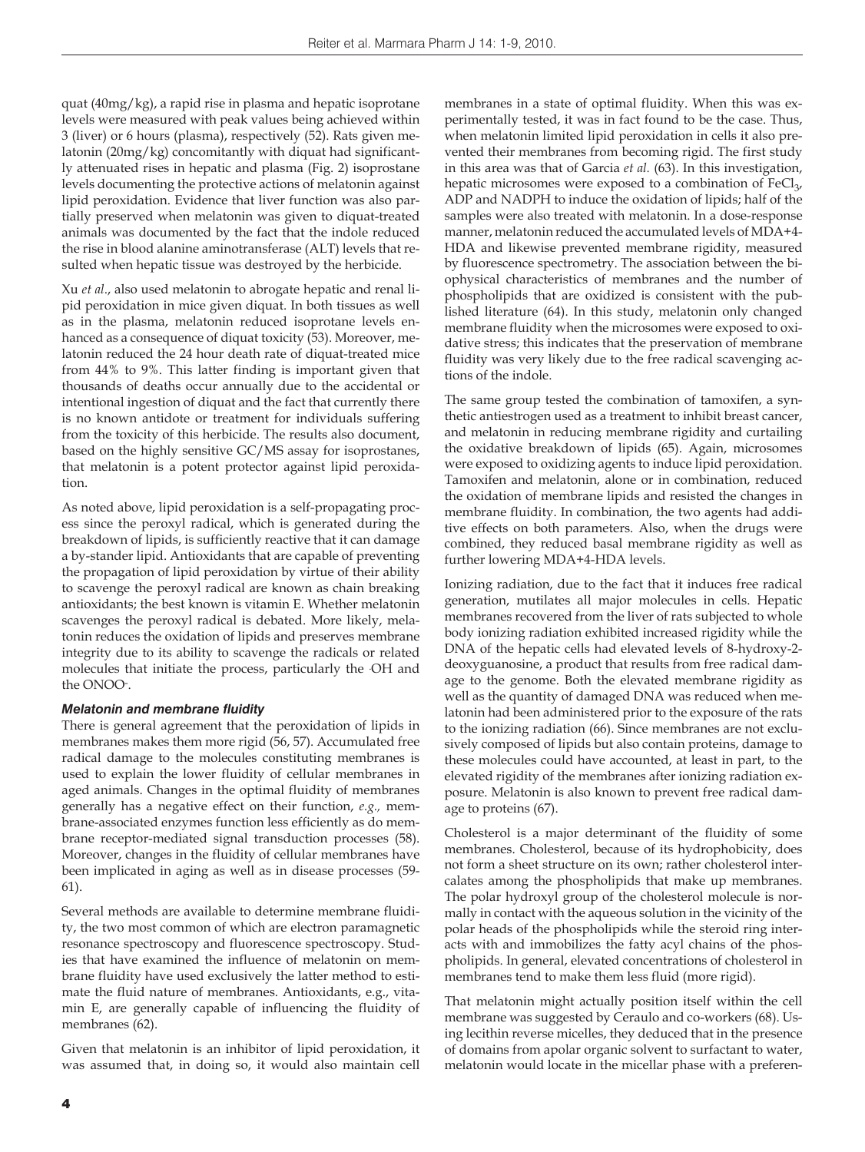quat (40mg/kg), a rapid rise in plasma and hepatic isoprotane levels were measured with peak values being achieved within 3 (liver) or 6 hours (plasma), respectively (52). Rats given melatonin (20mg/kg) concomitantly with diquat had significantly attenuated rises in hepatic and plasma (Fig. 2) isoprostane levels documenting the protective actions of melatonin against lipid peroxidation. Evidence that liver function was also partially preserved when melatonin was given to diquat-treated animals was documented by the fact that the indole reduced the rise in blood alanine aminotransferase (ALT) levels that resulted when hepatic tissue was destroyed by the herbicide.

Xu *et al*., also used melatonin to abrogate hepatic and renal lipid peroxidation in mice given diquat. In both tissues as well as in the plasma, melatonin reduced isoprotane levels enhanced as a consequence of diquat toxicity (53). Moreover, melatonin reduced the 24 hour death rate of diquat-treated mice from 44% to 9%. This latter finding is important given that thousands of deaths occur annually due to the accidental or intentional ingestion of diquat and the fact that currently there is no known antidote or treatment for individuals suffering from the toxicity of this herbicide. The results also document, based on the highly sensitive GC/MS assay for isoprostanes, that melatonin is a potent protector against lipid peroxidation.

As noted above, lipid peroxidation is a self-propagating process since the peroxyl radical, which is generated during the breakdown of lipids, is sufficiently reactive that it can damage a by-stander lipid. Antioxidants that are capable of preventing the propagation of lipid peroxidation by virtue of their ability to scavenge the peroxyl radical are known as chain breaking antioxidants; the best known is vitamin E. Whether melatonin scavenges the peroxyl radical is debated. More likely, melatonin reduces the oxidation of lipids and preserves membrane integrity due to its ability to scavenge the radicals or related molecules that initiate the process, particularly the . OH and the ONOO- .

## *Melatonin and membrane fluidity*

There is general agreement that the peroxidation of lipids in membranes makes them more rigid (56, 57). Accumulated free radical damage to the molecules constituting membranes is used to explain the lower fluidity of cellular membranes in aged animals. Changes in the optimal fluidity of membranes generally has a negative effect on their function, *e.g.,* membrane-associated enzymes function less efficiently as do membrane receptor-mediated signal transduction processes (58). Moreover, changes in the fluidity of cellular membranes have been implicated in aging as well as in disease processes (59- 61).

Several methods are available to determine membrane fluidity, the two most common of which are electron paramagnetic resonance spectroscopy and fluorescence spectroscopy. Studies that have examined the influence of melatonin on membrane fluidity have used exclusively the latter method to estimate the fluid nature of membranes. Antioxidants, e.g., vitamin E, are generally capable of influencing the fluidity of membranes (62).

Given that melatonin is an inhibitor of lipid peroxidation, it was assumed that, in doing so, it would also maintain cell membranes in a state of optimal fluidity. When this was experimentally tested, it was in fact found to be the case. Thus, when melatonin limited lipid peroxidation in cells it also prevented their membranes from becoming rigid. The first study in this area was that of Garcia *et al.* (63). In this investigation, hepatic microsomes were exposed to a combination of  $FeCl<sub>3</sub>$ , ADP and NADPH to induce the oxidation of lipids; half of the samples were also treated with melatonin. In a dose-response manner, melatonin reduced the accumulated levels of MDA+4- HDA and likewise prevented membrane rigidity, measured by fluorescence spectrometry. The association between the biophysical characteristics of membranes and the number of phospholipids that are oxidized is consistent with the published literature (64). In this study, melatonin only changed membrane fluidity when the microsomes were exposed to oxidative stress; this indicates that the preservation of membrane fluidity was very likely due to the free radical scavenging actions of the indole.

The same group tested the combination of tamoxifen, a synthetic antiestrogen used as a treatment to inhibit breast cancer, and melatonin in reducing membrane rigidity and curtailing the oxidative breakdown of lipids (65). Again, microsomes were exposed to oxidizing agents to induce lipid peroxidation. Tamoxifen and melatonin, alone or in combination, reduced the oxidation of membrane lipids and resisted the changes in membrane fluidity. In combination, the two agents had additive effects on both parameters. Also, when the drugs were combined, they reduced basal membrane rigidity as well as further lowering MDA+4-HDA levels.

Ionizing radiation, due to the fact that it induces free radical generation, mutilates all major molecules in cells. Hepatic membranes recovered from the liver of rats subjected to whole body ionizing radiation exhibited increased rigidity while the DNA of the hepatic cells had elevated levels of 8-hydroxy-2 deoxyguanosine, a product that results from free radical damage to the genome. Both the elevated membrane rigidity as well as the quantity of damaged DNA was reduced when melatonin had been administered prior to the exposure of the rats to the ionizing radiation (66). Since membranes are not exclusively composed of lipids but also contain proteins, damage to these molecules could have accounted, at least in part, to the elevated rigidity of the membranes after ionizing radiation exposure. Melatonin is also known to prevent free radical damage to proteins (67).

Cholesterol is a major determinant of the fluidity of some membranes. Cholesterol, because of its hydrophobicity, does not form a sheet structure on its own; rather cholesterol intercalates among the phospholipids that make up membranes. The polar hydroxyl group of the cholesterol molecule is normally in contact with the aqueous solution in the vicinity of the polar heads of the phospholipids while the steroid ring interacts with and immobilizes the fatty acyl chains of the phospholipids. In general, elevated concentrations of cholesterol in membranes tend to make them less fluid (more rigid).

That melatonin might actually position itself within the cell membrane was suggested by Ceraulo and co-workers (68). Using lecithin reverse micelles, they deduced that in the presence of domains from apolar organic solvent to surfactant to water, melatonin would locate in the micellar phase with a preferen-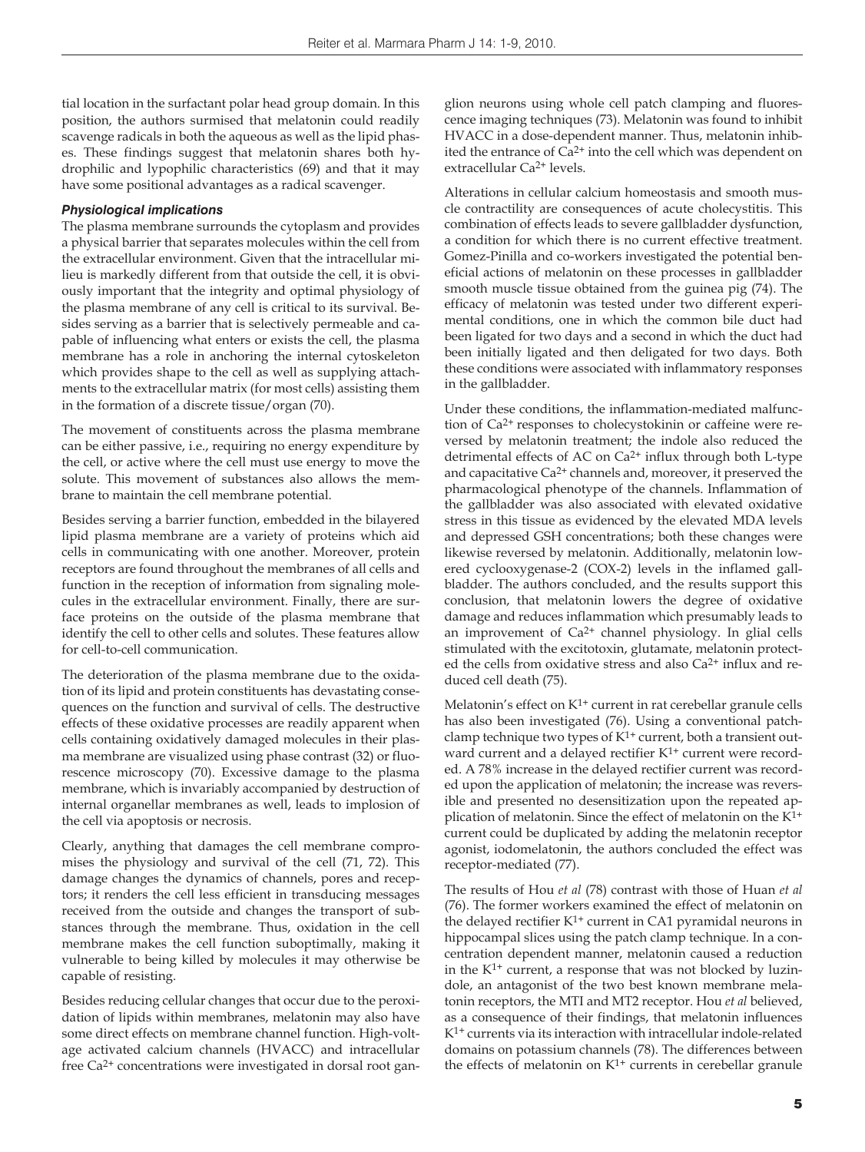tial location in the surfactant polar head group domain. In this position, the authors surmised that melatonin could readily scavenge radicals in both the aqueous as well as the lipid phases. These findings suggest that melatonin shares both hydrophilic and lypophilic characteristics (69) and that it may have some positional advantages as a radical scavenger.

## *Physiological implications*

The plasma membrane surrounds the cytoplasm and provides a physical barrier that separates molecules within the cell from the extracellular environment. Given that the intracellular milieu is markedly different from that outside the cell, it is obviously important that the integrity and optimal physiology of the plasma membrane of any cell is critical to its survival. Besides serving as a barrier that is selectively permeable and capable of influencing what enters or exists the cell, the plasma membrane has a role in anchoring the internal cytoskeleton which provides shape to the cell as well as supplying attachments to the extracellular matrix (for most cells) assisting them in the formation of a discrete tissue/organ (70).

The movement of constituents across the plasma membrane can be either passive, i.e., requiring no energy expenditure by the cell, or active where the cell must use energy to move the solute. This movement of substances also allows the membrane to maintain the cell membrane potential.

Besides serving a barrier function, embedded in the bilayered lipid plasma membrane are a variety of proteins which aid cells in communicating with one another. Moreover, protein receptors are found throughout the membranes of all cells and function in the reception of information from signaling molecules in the extracellular environment. Finally, there are surface proteins on the outside of the plasma membrane that identify the cell to other cells and solutes. These features allow for cell-to-cell communication.

The deterioration of the plasma membrane due to the oxidation of its lipid and protein constituents has devastating consequences on the function and survival of cells. The destructive effects of these oxidative processes are readily apparent when cells containing oxidatively damaged molecules in their plasma membrane are visualized using phase contrast (32) or fluorescence microscopy (70). Excessive damage to the plasma membrane, which is invariably accompanied by destruction of internal organellar membranes as well, leads to implosion of the cell via apoptosis or necrosis.

Clearly, anything that damages the cell membrane compromises the physiology and survival of the cell (71, 72). This damage changes the dynamics of channels, pores and receptors; it renders the cell less efficient in transducing messages received from the outside and changes the transport of substances through the membrane. Thus, oxidation in the cell membrane makes the cell function suboptimally, making it vulnerable to being killed by molecules it may otherwise be capable of resisting.

Besides reducing cellular changes that occur due to the peroxidation of lipids within membranes, melatonin may also have some direct effects on membrane channel function. High-voltage activated calcium channels (HVACC) and intracellular free Ca2+ concentrations were investigated in dorsal root ganglion neurons using whole cell patch clamping and fluorescence imaging techniques (73). Melatonin was found to inhibit HVACC in a dose-dependent manner. Thus, melatonin inhibited the entrance of Ca<sup>2+</sup> into the cell which was dependent on extracellular Ca2+ levels.

Alterations in cellular calcium homeostasis and smooth muscle contractility are consequences of acute cholecystitis. This combination of effects leads to severe gallbladder dysfunction, a condition for which there is no current effective treatment. Gomez-Pinilla and co-workers investigated the potential beneficial actions of melatonin on these processes in gallbladder smooth muscle tissue obtained from the guinea pig (74). The efficacy of melatonin was tested under two different experimental conditions, one in which the common bile duct had been ligated for two days and a second in which the duct had been initially ligated and then deligated for two days. Both these conditions were associated with inflammatory responses in the gallbladder.

Under these conditions, the inflammation-mediated malfunction of Ca2+ responses to cholecystokinin or caffeine were reversed by melatonin treatment; the indole also reduced the detrimental effects of AC on Ca<sup>2+</sup> influx through both L-type and capacitative Ca2+ channels and, moreover, it preserved the pharmacological phenotype of the channels. Inflammation of the gallbladder was also associated with elevated oxidative stress in this tissue as evidenced by the elevated MDA levels and depressed GSH concentrations; both these changes were likewise reversed by melatonin. Additionally, melatonin lowered cyclooxygenase-2 (COX-2) levels in the inflamed gallbladder. The authors concluded, and the results support this conclusion, that melatonin lowers the degree of oxidative damage and reduces inflammation which presumably leads to an improvement of  $Ca^{2+}$  channel physiology. In glial cells stimulated with the excitotoxin, glutamate, melatonin protected the cells from oxidative stress and also Ca2+ influx and reduced cell death (75).

Melatonin's effect on  $K^{1+}$  current in rat cerebellar granule cells has also been investigated (76). Using a conventional patchclamp technique two types of  $K^{1+}$  current, both a transient outward current and a delayed rectifier K<sup>1+</sup> current were recorded. A 78% increase in the delayed rectifier current was recorded upon the application of melatonin; the increase was reversible and presented no desensitization upon the repeated application of melatonin. Since the effect of melatonin on the K1+ current could be duplicated by adding the melatonin receptor agonist, iodomelatonin, the authors concluded the effect was receptor-mediated (77).

The results of Hou *et al* (78) contrast with those of Huan *et al* (76). The former workers examined the effect of melatonin on the delayed rectifier  $K^{1+}$  current in CA1 pyramidal neurons in hippocampal slices using the patch clamp technique. In a concentration dependent manner, melatonin caused a reduction in the  $K^{1+}$  current, a response that was not blocked by luzindole, an antagonist of the two best known membrane melatonin receptors, the MTI and MT2 receptor. Hou *et al* believed, as a consequence of their findings, that melatonin influences K1+ currents via its interaction with intracellular indole-related domains on potassium channels (78). The differences between the effects of melatonin on  $K^{1+}$  currents in cerebellar granule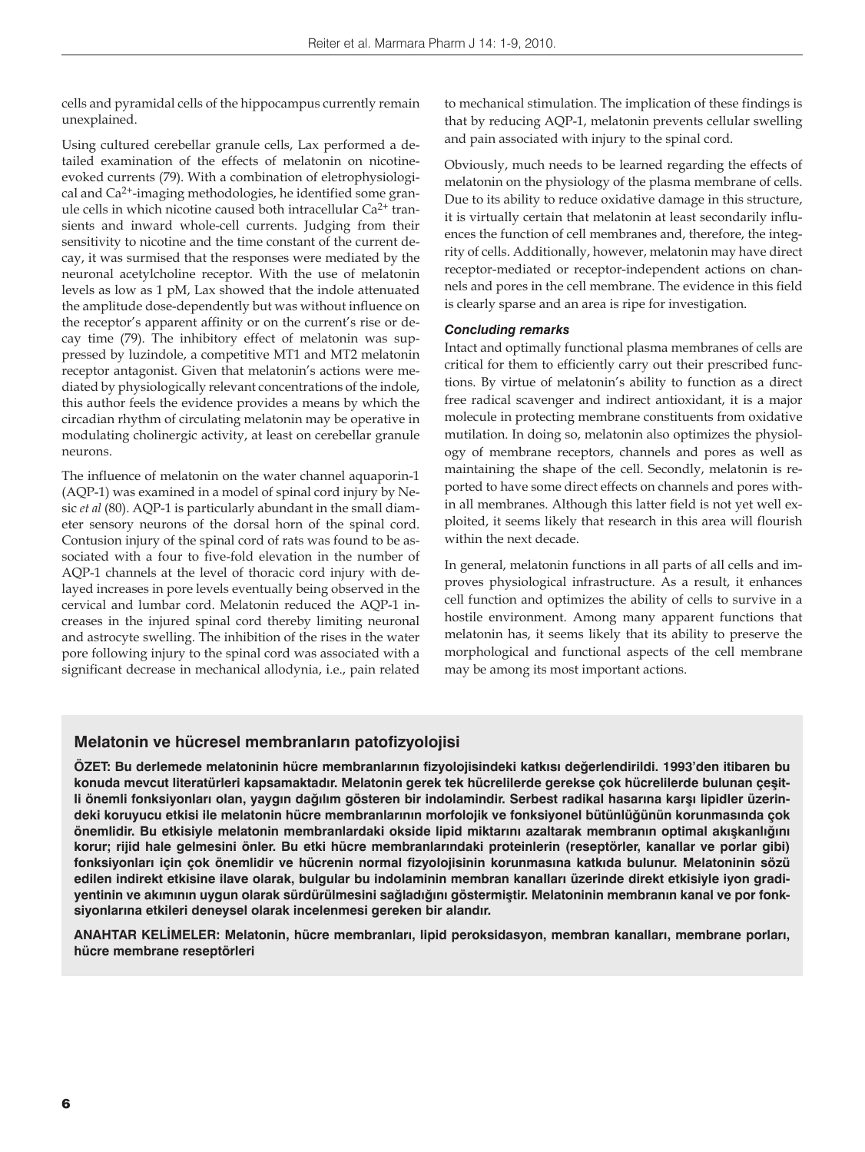cells and pyramidal cells of the hippocampus currently remain unexplained.

Using cultured cerebellar granule cells, Lax performed a detailed examination of the effects of melatonin on nicotineevoked currents (79). With a combination of eletrophysiological and Ca2+-imaging methodologies, he identified some granule cells in which nicotine caused both intracellular Ca2+ transients and inward whole-cell currents. Judging from their sensitivity to nicotine and the time constant of the current decay, it was surmised that the responses were mediated by the neuronal acetylcholine receptor. With the use of melatonin levels as low as 1 pM, Lax showed that the indole attenuated the amplitude dose-dependently but was without influence on the receptor's apparent affinity or on the current's rise or decay time (79). The inhibitory effect of melatonin was suppressed by luzindole, a competitive MT1 and MT2 melatonin receptor antagonist. Given that melatonin's actions were mediated by physiologically relevant concentrations of the indole, this author feels the evidence provides a means by which the circadian rhythm of circulating melatonin may be operative in modulating cholinergic activity, at least on cerebellar granule neurons.

The influence of melatonin on the water channel aquaporin-1 (AQP-1) was examined in a model of spinal cord injury by Nesic *et al* (80). AQP-1 is particularly abundant in the small diameter sensory neurons of the dorsal horn of the spinal cord. Contusion injury of the spinal cord of rats was found to be associated with a four to five-fold elevation in the number of AQP-1 channels at the level of thoracic cord injury with delayed increases in pore levels eventually being observed in the cervical and lumbar cord. Melatonin reduced the AQP-1 increases in the injured spinal cord thereby limiting neuronal and astrocyte swelling. The inhibition of the rises in the water pore following injury to the spinal cord was associated with a significant decrease in mechanical allodynia, i.e., pain related

to mechanical stimulation. The implication of these findings is that by reducing AQP-1, melatonin prevents cellular swelling and pain associated with injury to the spinal cord.

Obviously, much needs to be learned regarding the effects of melatonin on the physiology of the plasma membrane of cells. Due to its ability to reduce oxidative damage in this structure, it is virtually certain that melatonin at least secondarily influences the function of cell membranes and, therefore, the integrity of cells. Additionally, however, melatonin may have direct receptor-mediated or receptor-independent actions on channels and pores in the cell membrane. The evidence in this field is clearly sparse and an area is ripe for investigation.

## *Concluding remarks*

Intact and optimally functional plasma membranes of cells are critical for them to efficiently carry out their prescribed functions. By virtue of melatonin's ability to function as a direct free radical scavenger and indirect antioxidant, it is a major molecule in protecting membrane constituents from oxidative mutilation. In doing so, melatonin also optimizes the physiology of membrane receptors, channels and pores as well as maintaining the shape of the cell. Secondly, melatonin is reported to have some direct effects on channels and pores within all membranes. Although this latter field is not yet well exploited, it seems likely that research in this area will flourish within the next decade.

In general, melatonin functions in all parts of all cells and improves physiological infrastructure. As a result, it enhances cell function and optimizes the ability of cells to survive in a hostile environment. Among many apparent functions that melatonin has, it seems likely that its ability to preserve the morphological and functional aspects of the cell membrane may be among its most important actions.

# **Melatonin ve hücresel membranların patofizyolojisi**

**ÖZET: Bu derlemede melatoninin hücre membranlarının fizyolojisindeki katkısı değerlendirildi. 1993'den itibaren bu konuda mevcut literatürleri kapsamaktadır. Melatonin gerek tek hücrelilerde gerekse çok hücrelilerde bulunan çeşitli önemli fonksiyonları olan, yaygın dağılım gösteren bir indolamindir. Serbest radikal hasarına karşı lipidler üzerindeki koruyucu etkisi ile melatonin hücre membranlarının morfolojik ve fonksiyonel bütünlüğünün korunmasında çok önemlidir. Bu etkisiyle melatonin membranlardaki okside lipid miktarını azaltarak membranın optimal akışkanlığını korur; rijid hale gelmesini önler. Bu etki hücre membranlarındaki proteinlerin (reseptörler, kanallar ve porlar gibi) fonksiyonları için çok önemlidir ve hücrenin normal fizyolojisinin korunmasına katkıda bulunur. Melatoninin sözü edilen indirekt etkisine ilave olarak, bulgular bu indolaminin membran kanalları üzerinde direkt etkisiyle iyon gradiyentinin ve akımının uygun olarak sürdürülmesini sağladığını göstermiştir. Melatoninin membranın kanal ve por fonksiyonlarına etkileri deneysel olarak incelenmesi gereken bir alandır.**

**ANAHTAR KELİMELER: Melatonin, hücre membranları, lipid peroksidasyon, membran kanalları, membrane porları, hücre membrane reseptörleri**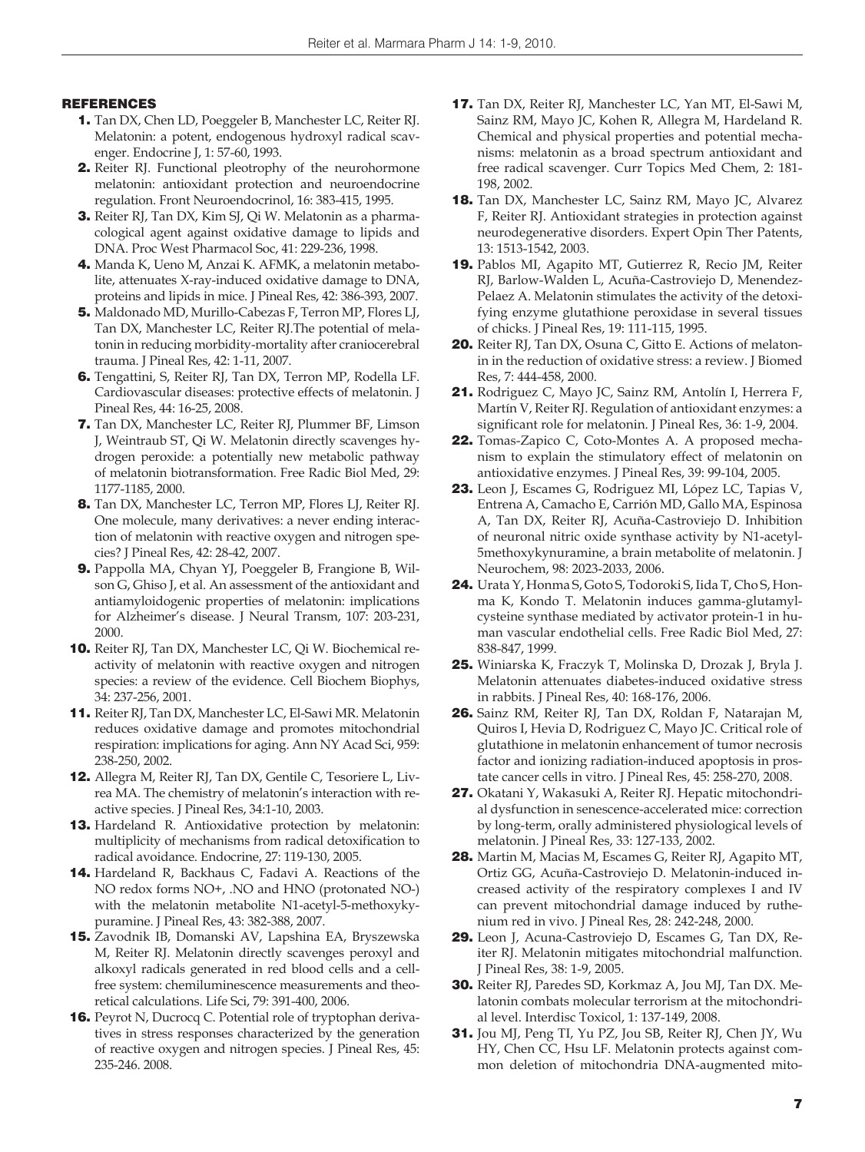# **REFERENCES**

- 1. Tan DX, Chen LD, Poeggeler B, Manchester LC, Reiter RJ. Melatonin: a potent, endogenous hydroxyl radical scavenger. Endocrine J, 1: 57-60, 1993.
- 2. Reiter RJ. Functional pleotrophy of the neurohormone melatonin: antioxidant protection and neuroendocrine regulation. Front Neuroendocrinol, 16: 383-415, 1995.
- 3. Reiter RJ, Tan DX, Kim SJ, Qi W. Melatonin as a pharmacological agent against oxidative damage to lipids and DNA. Proc West Pharmacol Soc, 41: 229-236, 1998.
- 4. Manda K, Ueno M, Anzai K. AFMK, a melatonin metabolite, attenuates X-ray-induced oxidative damage to DNA, proteins and lipids in mice. J Pineal Res, 42: 386-393, 2007.
- 5. Maldonado MD, Murillo-Cabezas F, Terron MP, Flores LJ, Tan DX, Manchester LC, Reiter RJ.The potential of melatonin in reducing morbidity-mortality after craniocerebral trauma. J Pineal Res, 42: 1-11, 2007.
- 6. Tengattini, S, Reiter RJ, Tan DX, Terron MP, Rodella LF. Cardiovascular diseases: protective effects of melatonin. J Pineal Res, 44: 16-25, 2008.
- 7. Tan DX, Manchester LC, Reiter RJ, Plummer BF, Limson J, Weintraub ST, Qi W. Melatonin directly scavenges hydrogen peroxide: a potentially new metabolic pathway of melatonin biotransformation. Free Radic Biol Med, 29: 1177-1185, 2000.
- 8. Tan DX, Manchester LC, Terron MP, Flores LJ, Reiter RJ. One molecule, many derivatives: a never ending interaction of melatonin with reactive oxygen and nitrogen species? J Pineal Res, 42: 28-42, 2007.
- 9. Pappolla MA, Chyan YJ, Poeggeler B, Frangione B, Wilson G, Ghiso J, et al. An assessment of the antioxidant and antiamyloidogenic properties of melatonin: implications for Alzheimer's disease. J Neural Transm, 107: 203-231, 2000.
- 10. Reiter RJ, Tan DX, Manchester LC, Qi W. Biochemical reactivity of melatonin with reactive oxygen and nitrogen species: a review of the evidence. Cell Biochem Biophys, 34: 237-256, 2001.
- 11. Reiter RJ, Tan DX, Manchester LC, El-Sawi MR. Melatonin reduces oxidative damage and promotes mitochondrial respiration: implications for aging. Ann NY Acad Sci, 959: 238-250, 2002.
- 12. Allegra M, Reiter RJ, Tan DX, Gentile C, Tesoriere L, Livrea MA. The chemistry of melatonin's interaction with reactive species. J Pineal Res, 34:1-10, 2003.
- 13. Hardeland R. Antioxidative protection by melatonin: multiplicity of mechanisms from radical detoxification to radical avoidance. Endocrine, 27: 119-130, 2005.
- 14. Hardeland R, Backhaus C, Fadavi A. Reactions of the NO redox forms NO+, .NO and HNO (protonated NO-) with the melatonin metabolite N1-acetyl-5-methoxykypuramine. J Pineal Res, 43: 382-388, 2007.
- 15. Zavodnik IB, Domanski AV, Lapshina EA, Bryszewska M, Reiter RJ. Melatonin directly scavenges peroxyl and alkoxyl radicals generated in red blood cells and a cellfree system: chemiluminescence measurements and theoretical calculations. Life Sci, 79: 391-400, 2006.
- 16. Peyrot N, Ducrocq C. Potential role of tryptophan derivatives in stress responses characterized by the generation of reactive oxygen and nitrogen species. J Pineal Res, 45: 235-246. 2008.
- 17. Tan DX, Reiter RJ, Manchester LC, Yan MT, El-Sawi M, Sainz RM, Mayo JC, Kohen R, Allegra M, Hardeland R. Chemical and physical properties and potential mechanisms: melatonin as a broad spectrum antioxidant and free radical scavenger. Curr Topics Med Chem, 2: 181- 198, 2002.
- 18. Tan DX, Manchester LC, Sainz RM, Mayo JC, Alvarez F, Reiter RJ. Antioxidant strategies in protection against neurodegenerative disorders. Expert Opin Ther Patents, 13: 1513-1542, 2003.
- 19. Pablos MI, Agapito MT, Gutierrez R, Recio JM, Reiter RJ, Barlow-Walden L, Acuña-Castroviejo D, Menendez-Pelaez A. Melatonin stimulates the activity of the detoxifying enzyme glutathione peroxidase in several tissues of chicks. J Pineal Res, 19: 111-115, 1995.
- 20. Reiter RJ, Tan DX, Osuna C, Gitto E. Actions of melatonin in the reduction of oxidative stress: a review. J Biomed Res, 7: 444-458, 2000.
- 21. Rodriguez C, Mayo JC, Sainz RM, Antolín I, Herrera F, Martín V, Reiter RJ. Regulation of antioxidant enzymes: a significant role for melatonin. J Pineal Res, 36: 1-9, 2004.
- 22. Tomas-Zapico C, Coto-Montes A. A proposed mechanism to explain the stimulatory effect of melatonin on antioxidative enzymes. J Pineal Res, 39: 99-104, 2005.
- 23. Leon J, Escames G, Rodriguez MI, López LC, Tapias V, Entrena A, Camacho E, Carrión MD, Gallo MA, Espinosa A, Tan DX, Reiter RJ, Acuña-Castroviejo D. Inhibition of neuronal nitric oxide synthase activity by N1-acetyl-5methoxykynuramine, a brain metabolite of melatonin. J Neurochem, 98: 2023-2033, 2006.
- 24. Urata Y, Honma S, Goto S, Todoroki S, Iida T, Cho S, Honma K, Kondo T. Melatonin induces gamma-glutamylcysteine synthase mediated by activator protein-1 in human vascular endothelial cells. Free Radic Biol Med, 27: 838-847, 1999.
- 25. Winiarska K, Fraczyk T, Molinska D, Drozak J, Bryla J. Melatonin attenuates diabetes-induced oxidative stress in rabbits. J Pineal Res, 40: 168-176, 2006.
- 26. Sainz RM, Reiter RJ, Tan DX, Roldan F, Natarajan M, Quiros I, Hevia D, Rodriguez C, Mayo JC. Critical role of glutathione in melatonin enhancement of tumor necrosis factor and ionizing radiation-induced apoptosis in prostate cancer cells in vitro. J Pineal Res, 45: 258-270, 2008.
- 27. Okatani Y, Wakasuki A, Reiter RJ. Hepatic mitochondrial dysfunction in senescence-accelerated mice: correction by long-term, orally administered physiological levels of melatonin. J Pineal Res, 33: 127-133, 2002.
- 28. Martin M, Macias M, Escames G, Reiter RJ, Agapito MT, Ortiz GG, Acuña-Castroviejo D. Melatonin-induced increased activity of the respiratory complexes I and IV can prevent mitochondrial damage induced by ruthenium red in vivo. J Pineal Res, 28: 242-248, 2000.
- 29. Leon J, Acuna-Castroviejo D, Escames G, Tan DX, Reiter RJ. Melatonin mitigates mitochondrial malfunction. J Pineal Res, 38: 1-9, 2005.
- 30. Reiter RJ, Paredes SD, Korkmaz A, Jou MJ, Tan DX. Melatonin combats molecular terrorism at the mitochondrial level. Interdisc Toxicol, 1: 137-149, 2008.
- 31. Jou MJ, Peng TI, Yu PZ, Jou SB, Reiter RJ, Chen JY, Wu HY, Chen CC, Hsu LF. Melatonin protects against common deletion of mitochondria DNA-augmented mito-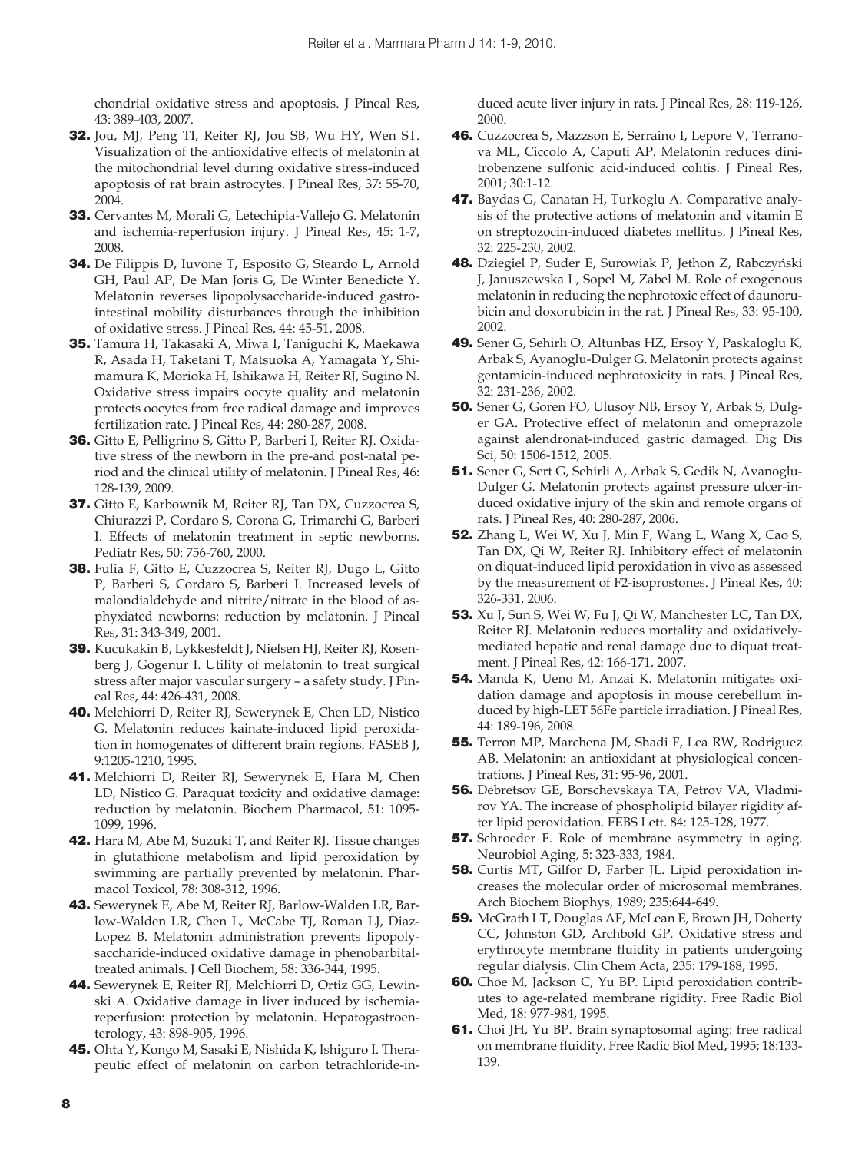chondrial oxidative stress and apoptosis. J Pineal Res, 43: 389-403, 2007.

- 32. Jou, MJ, Peng TI, Reiter RJ, Jou SB, Wu HY, Wen ST. Visualization of the antioxidative effects of melatonin at the mitochondrial level during oxidative stress-induced apoptosis of rat brain astrocytes. J Pineal Res, 37: 55-70, 2004.
- 33. Cervantes M, Morali G, Letechipia-Vallejo G. Melatonin and ischemia-reperfusion injury. J Pineal Res, 45: 1-7, 2008.
- 34. De Filippis D, Iuvone T, Esposito G, Steardo L, Arnold GH, Paul AP, De Man Joris G, De Winter Benedicte Y. Melatonin reverses lipopolysaccharide-induced gastrointestinal mobility disturbances through the inhibition of oxidative stress. J Pineal Res, 44: 45-51, 2008.
- 35. Tamura H, Takasaki A, Miwa I, Taniguchi K, Maekawa R, Asada H, Taketani T, Matsuoka A, Yamagata Y, Shimamura K, Morioka H, Ishikawa H, Reiter RJ, Sugino N. Oxidative stress impairs oocyte quality and melatonin protects oocytes from free radical damage and improves fertilization rate. J Pineal Res, 44: 280-287, 2008.
- 36. Gitto E, Pelligrino S, Gitto P, Barberi I, Reiter RJ. Oxidative stress of the newborn in the pre-and post-natal period and the clinical utility of melatonin. J Pineal Res, 46: 128-139, 2009.
- 37. Gitto E, Karbownik M, Reiter RJ, Tan DX, Cuzzocrea S, Chiurazzi P, Cordaro S, Corona G, Trimarchi G, Barberi I. Effects of melatonin treatment in septic newborns. Pediatr Res, 50: 756-760, 2000.
- 38. Fulia F, Gitto E, Cuzzocrea S, Reiter RJ, Dugo L, Gitto P, Barberi S, Cordaro S, Barberi I. Increased levels of malondialdehyde and nitrite/nitrate in the blood of asphyxiated newborns: reduction by melatonin. J Pineal Res, 31: 343-349, 2001.
- 39. Kucukakin B, Lykkesfeldt J, Nielsen HJ, Reiter RJ, Rosenberg J, Gogenur I. Utility of melatonin to treat surgical stress after major vascular surgery – a safety study. J Pineal Res, 44: 426-431, 2008.
- 40. Melchiorri D, Reiter RJ, Sewerynek E, Chen LD, Nistico G. Melatonin reduces kainate-induced lipid peroxidation in homogenates of different brain regions. FASEB J, 9:1205-1210, 1995.
- 41. Melchiorri D, Reiter RJ, Sewerynek E, Hara M, Chen LD, Nistico G. Paraquat toxicity and oxidative damage: reduction by melatonin. Biochem Pharmacol, 51: 1095- 1099, 1996.
- 42. Hara M, Abe M, Suzuki T, and Reiter RJ. Tissue changes in glutathione metabolism and lipid peroxidation by swimming are partially prevented by melatonin. Pharmacol Toxicol, 78: 308-312, 1996.
- 43. Sewerynek E, Abe M, Reiter RJ, Barlow-Walden LR, Barlow-Walden LR, Chen L, McCabe TJ, Roman LJ, Diaz-Lopez B. Melatonin administration prevents lipopolysaccharide-induced oxidative damage in phenobarbitaltreated animals. J Cell Biochem, 58: 336-344, 1995.
- 44. Sewerynek E, Reiter RJ, Melchiorri D, Ortiz GG, Lewinski A. Oxidative damage in liver induced by ischemiareperfusion: protection by melatonin. Hepatogastroenterology, 43: 898-905, 1996.
- 45. Ohta Y, Kongo M, Sasaki E, Nishida K, Ishiguro I. Therapeutic effect of melatonin on carbon tetrachloride-in-

duced acute liver injury in rats. J Pineal Res, 28: 119-126, 2000.

- 46. Cuzzocrea S, Mazzson E, Serraino I, Lepore V, Terranova ML, Ciccolo A, Caputi AP. Melatonin reduces dinitrobenzene sulfonic acid-induced colitis. J Pineal Res, 2001; 30:1-12.
- 47. Baydas G, Canatan H, Turkoglu A. Comparative analysis of the protective actions of melatonin and vitamin E on streptozocin-induced diabetes mellitus. J Pineal Res, 32: 225-230, 2002.
- 48. Dziegiel P, Suder E, Surowiak P, Jethon Z, Rabczyński J, Januszewska L, Sopel M, Zabel M. Role of exogenous melatonin in reducing the nephrotoxic effect of daunorubicin and doxorubicin in the rat. J Pineal Res, 33: 95-100, 2002.
- 49. Sener G, Sehirli O, Altunbas HZ, Ersoy Y, Paskaloglu K, Arbak S, Ayanoglu-Dulger G. Melatonin protects against gentamicin-induced nephrotoxicity in rats. J Pineal Res, 32: 231-236, 2002.
- 50. Sener G, Goren FO, Ulusoy NB, Ersoy Y, Arbak S, Dulger GA. Protective effect of melatonin and omeprazole against alendronat-induced gastric damaged. Dig Dis Sci, 50: 1506-1512, 2005.
- 51. Sener G, Sert G, Sehirli A, Arbak S, Gedik N, Avanoglu-Dulger G. Melatonin protects against pressure ulcer-induced oxidative injury of the skin and remote organs of rats. J Pineal Res, 40: 280-287, 2006.
- 52. Zhang L, Wei W, Xu J, Min F, Wang L, Wang X, Cao S, Tan DX, Qi W, Reiter RJ. Inhibitory effect of melatonin on diquat-induced lipid peroxidation in vivo as assessed by the measurement of F2-isoprostones. J Pineal Res, 40: 326-331, 2006.
- 53. Xu J, Sun S, Wei W, Fu J, Qi W, Manchester LC, Tan DX, Reiter RJ. Melatonin reduces mortality and oxidativelymediated hepatic and renal damage due to diquat treatment. J Pineal Res, 42: 166-171, 2007.
- 54. Manda K, Ueno M, Anzai K. Melatonin mitigates oxidation damage and apoptosis in mouse cerebellum induced by high-LET 56Fe particle irradiation. J Pineal Res, 44: 189-196, 2008.
- 55. Terron MP, Marchena JM, Shadi F, Lea RW, Rodriguez AB. Melatonin: an antioxidant at physiological concentrations. J Pineal Res, 31: 95-96, 2001.
- 56. Debretsov GE, Borschevskaya TA, Petrov VA, Vladmirov YA. The increase of phospholipid bilayer rigidity after lipid peroxidation. FEBS Lett. 84: 125-128, 1977.
- 57. Schroeder F. Role of membrane asymmetry in aging. Neurobiol Aging, 5: 323-333, 1984.
- **58.** Curtis MT, Gilfor D, Farber JL. Lipid peroxidation increases the molecular order of microsomal membranes. Arch Biochem Biophys, 1989; 235:644-649.
- 59. McGrath LT, Douglas AF, McLean E, Brown JH, Doherty CC, Johnston GD, Archbold GP. Oxidative stress and erythrocyte membrane fluidity in patients undergoing regular dialysis. Clin Chem Acta, 235: 179-188, 1995.
- 60. Choe M, Jackson C, Yu BP. Lipid peroxidation contributes to age-related membrane rigidity. Free Radic Biol Med, 18: 977-984, 1995.
- 61. Choi JH, Yu BP. Brain synaptosomal aging: free radical on membrane fluidity. Free Radic Biol Med, 1995; 18:133- 139.